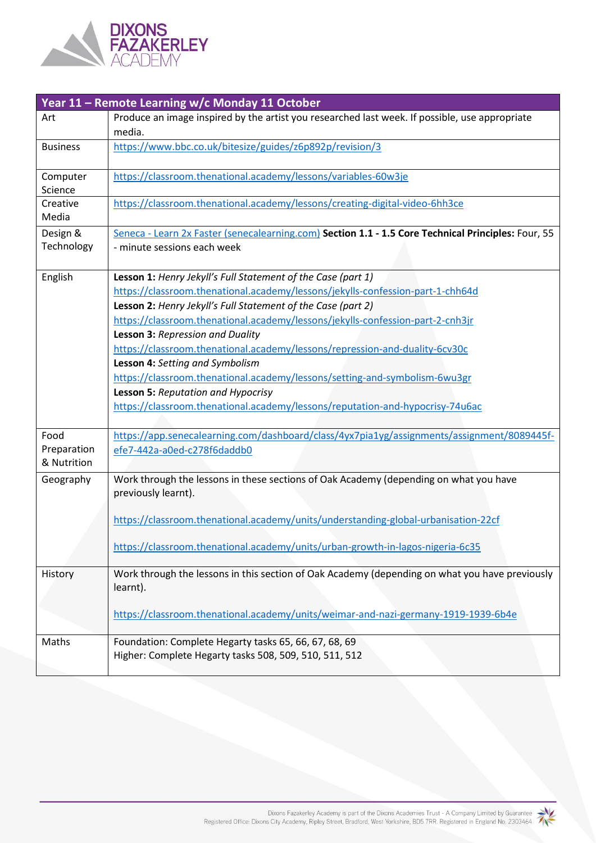

| Year 11 - Remote Learning w/c Monday 11 October |                                                                                                                                                                                                                                                                                                                                                                                                                                                                                                                                                                                                                                                             |
|-------------------------------------------------|-------------------------------------------------------------------------------------------------------------------------------------------------------------------------------------------------------------------------------------------------------------------------------------------------------------------------------------------------------------------------------------------------------------------------------------------------------------------------------------------------------------------------------------------------------------------------------------------------------------------------------------------------------------|
| Art                                             | Produce an image inspired by the artist you researched last week. If possible, use appropriate<br>media.                                                                                                                                                                                                                                                                                                                                                                                                                                                                                                                                                    |
| <b>Business</b>                                 | https://www.bbc.co.uk/bitesize/guides/z6p892p/revision/3                                                                                                                                                                                                                                                                                                                                                                                                                                                                                                                                                                                                    |
| Computer<br>Science                             | https://classroom.thenational.academy/lessons/variables-60w3je                                                                                                                                                                                                                                                                                                                                                                                                                                                                                                                                                                                              |
| Creative<br>Media                               | https://classroom.thenational.academy/lessons/creating-digital-video-6hh3ce                                                                                                                                                                                                                                                                                                                                                                                                                                                                                                                                                                                 |
| Design &<br>Technology                          | Seneca - Learn 2x Faster (senecalearning.com) Section 1.1 - 1.5 Core Technical Principles: Four, 55<br>- minute sessions each week                                                                                                                                                                                                                                                                                                                                                                                                                                                                                                                          |
| English                                         | Lesson 1: Henry Jekyll's Full Statement of the Case (part 1)<br>https://classroom.thenational.academy/lessons/jekylls-confession-part-1-chh64d<br>Lesson 2: Henry Jekyll's Full Statement of the Case (part 2)<br>https://classroom.thenational.academy/lessons/jekylls-confession-part-2-cnh3jr<br>Lesson 3: Repression and Duality<br>https://classroom.thenational.academy/lessons/repression-and-duality-6cv30c<br>Lesson 4: Setting and Symbolism<br>https://classroom.thenational.academy/lessons/setting-and-symbolism-6wu3gr<br>Lesson 5: Reputation and Hypocrisy<br>https://classroom.thenational.academy/lessons/reputation-and-hypocrisy-74u6ac |
| Food<br>Preparation<br>& Nutrition              | https://app.senecalearning.com/dashboard/class/4yx7pia1yg/assignments/assignment/8089445f-<br>efe7-442a-a0ed-c278f6daddb0                                                                                                                                                                                                                                                                                                                                                                                                                                                                                                                                   |
| Geography                                       | Work through the lessons in these sections of Oak Academy (depending on what you have<br>previously learnt).<br>https://classroom.thenational.academy/units/understanding-global-urbanisation-22cf<br>https://classroom.thenational.academy/units/urban-growth-in-lagos-nigeria-6c35                                                                                                                                                                                                                                                                                                                                                                        |
| History                                         | Work through the lessons in this section of Oak Academy (depending on what you have previously<br>learnt).<br>https://classroom.thenational.academy/units/weimar-and-nazi-germany-1919-1939-6b4e                                                                                                                                                                                                                                                                                                                                                                                                                                                            |
| Maths                                           | Foundation: Complete Hegarty tasks 65, 66, 67, 68, 69<br>Higher: Complete Hegarty tasks 508, 509, 510, 511, 512                                                                                                                                                                                                                                                                                                                                                                                                                                                                                                                                             |